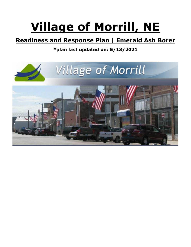# **Village of Morrill, NE**

## **Readiness and Response Plan | Emerald Ash Borer**

## **\*plan last updated on: 5/13/2021**

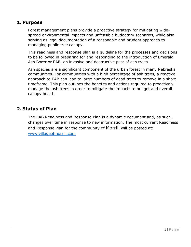#### **1. Purpose**

Forest management plans provide a proactive strategy for mitigating widespread environmental impacts and unfeasible budgetary scenarios, while also serving as legal documentation of a reasonable and prudent approach to managing public tree canopy.

This readiness and response plan is a guideline for the processes and decisions to be followed in preparing for and responding to the introduction of Emerald Ash Borer or EAB, an invasive and destructive pest of ash trees.

Ash species are a significant component of the urban forest in many Nebraska communities. For communities with a high percentage of ash trees, a reactive approach to EAB can lead to large numbers of dead trees to remove in a short timeframe. This plan outlines the benefits and actions required to proactively manage the ash trees in order to mitigate the impacts to budget and overall canopy health.

#### **2. Status of Plan**

The EAB Readiness and Response Plan is a dynamic document and, as such, changes over time in response to new information. The most current Readiness and Response Plan for the community of Morrill will be posted at: [www.villageofmorrill.com](http://www.villageofmorrill.com/)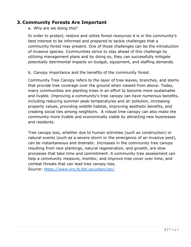### **3. Community Forests Are Important**

a. Why are we doing this?

In order to protect, restore and utilize forest resources it is in the community's best interest to be informed and prepared to tackle challenges that a community forest may present. One of those challenges can be the introduction of invasive species. Communities strive to stay ahead of this challenge by utilizing management plans and by doing so, they can successfully mitigate potentially detrimental impacts on budget, equipment, and staffing demands.

b. Canopy importance and the benefits of the community forest.

Community Tree Canopy refers to the layer of tree leaves, branches, and stems that provide tree coverage over the ground when viewed from above. Today, many communities are planting trees in an effort to become more sustainable and livable. Improving a community's tree canopy can have numerous benefits, including reducing summer peak temperatures and air pollution, increasing property values, providing wildlife habitat, improving aesthetic benefits, and creating social ties among neighbors. A robust tree canopy can also make the community more livable and economically viable by attracting new businesses and residents.

Tree canopy loss, whether due to human activities (such as construction) or natural events (such as a severe storm or the emergence of an invasive pest), can be instantaneous and dramatic. Increases in the community tree canopy resulting from new plantings, natural regeneration, and growth, are slow processes that take time and commitment. A community tree assessment can help a community measure, monitor, and improve tree cover over time, and combat threats that can lead tree canopy loss.

Source:<https://www.nrs.fs.fed.us/urban/utc/>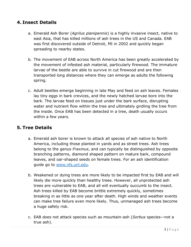### **4. Insect Details**

- a. Emerald Ash Borer (*Agrilus planipennis*) is a highly invasive insect, native to east Asia, that has killed millions of ash trees in the US and Canada. EAB was first discovered outside of Detroit, MI in 2002 and quickly began spreading to nearby states.
- b. The movement of EAB across North America has been greatly accelerated by the movement of infested ash material, particularly firewood. The immature larvae of the beetle are able to survive in cut firewood and are then transported long distances where they can emerge as adults the following spring.
- c. Adult beetles emerge beginning in late May and feed on ash leaves. Females lay tiny eggs in bark crevices, and the newly hatched larvae bore into the bark. The larvae feed on tissues just under the bark surface, disrupting water and nutrient flow within the tree and ultimately girdling the tree from the inside. Once EAB has been detected in a tree, death usually occurs within a few years.

## **5. Tree Details**

- a. Emerald ash borer is known to attack all species of ash native to North America, including those planted in yards and as street trees. Ash trees belong to the genus *Fraxinus*, and can typically be distinguished by opposite branching patterns, diamond shaped pattern on mature bark, compound leaves, and oar-shaped seeds on female trees. For an ash identification guide go to [www.nfs.unl.edu.](http://www.nfs.unl.edu/)
- b. Weakened or dying trees are more likely to be impacted first by EAB and will likely die more quickly than healthy trees. However, all unprotected ash trees are vulnerable to EAB, and all will eventually succumb to the insect. Ash trees killed by EAB become brittle extremely quickly, sometimes breaking in as little as one year after death. High winds and weather events can make tree failure even more likely. Thus, unmanaged ash trees become a huge safety risk.
- c. EAB does not attack species such as mountain-ash (*Sorbus* species—not a true ash).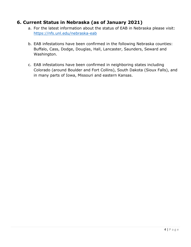## **6. Current Status in Nebraska (as of January 2021)**

- a. For the latest information about the status of EAB in Nebraska please visit: <https://nfs.unl.edu/nebraska-eab>
- b. EAB infestations have been confirmed in the following Nebraska counties: Buffalo, Cass, Dodge, Douglas, Hall, Lancaster, Saunders, Seward and Washington.
- c. EAB infestations have been confirmed in neighboring states including Colorado (around Boulder and Fort Collins), South Dakota (Sioux Falls), and in many parts of Iowa, Missouri and eastern Kansas.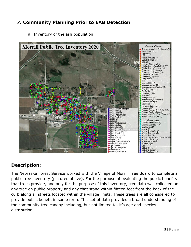## **7. Community Planning Prior to EAB Detection**



a. Inventory of the ash population

## **Description:**

The Nebraska Forest Service worked with the Village of Morrill Tree Board to complete a public tree inventory (pictured above). For the purpose of evaluating the public benefits that trees provide, and only for the purpose of this inventory, tree data was collected on any tree on public property and any that stand within fifteen feet from the back of the curb along all streets located within the village limits. These trees are all considered to provide public benefit in some form. This set of data provides a broad understanding of the community tree canopy including, but not limited to, it's age and species distribution.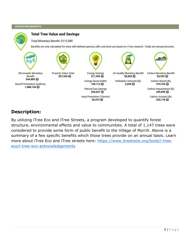#### **ECOSYSTEM BENEFITS**



## **Description:**

By utilizing iTree Eco and iTree Streets, a program developed to quantify forest structure, environmental effects and value to communities. A total of 1,147 trees were considered to provide some form of public benefit to the Village of Morrill. Above is a summary of a few specific benefits which those trees provide on an annual basis. Learn more about iTree Eco and iTree streets here: [https://www.itreetools.org/tools/i-tree](https://www.itreetools.org/tools/i-tree-eco/i-tree-eco-acknowledgements)[eco/i-tree-eco-acknowledgements](https://www.itreetools.org/tools/i-tree-eco/i-tree-eco-acknowledgements)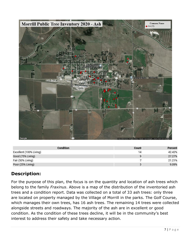

| <b>Condition</b>        | Count | Percent |
|-------------------------|-------|---------|
| Excellent (100% Living) | 14    | 42.42%  |
| Good (75% Living)       |       | 27.27%  |
| Fair (50% Living)       |       | 21.21%  |
| Poor (25% Living)       |       | 9.09%   |

## **Description:**

For the purpose of this plan, the focus is on the quantity and location of ash trees which belong to the family *Fraxinus*. Above is a map of the distribution of the inventoried ash trees and a condition report. Data was collected on a total of 33 ash trees: only three are located on property managed by the Village of Morrill in the parks. The Golf Course, which manages their own trees, has 16 ash trees. The remaining 14 trees were collected alongside streets and roadways. The majority of the ash are in excellent or good condition. As the condition of these trees decline, it will be in the community's best interest to address their safety and take necessary action.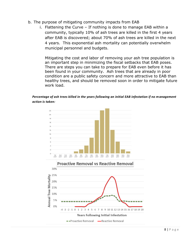- b. The purpose of mitigating community impacts from EAB
	- i. Flattening the Curve If nothing is done to manage EAB within a community, typically 10% of ash trees are killed in the first 4 years after EAB is discovered; about 70% of ash trees are killed in the next 4 years. This exponential ash mortality can potentially overwhelm municipal personnel and budgets.

Mitigating the cost and labor of removing your ash tree population is an important step in minimizing the fiscal setbacks that EAB poses. There are steps you can take to prepare for EAB even before it has been found in your community. Ash trees that are already in poor condition are a public safety concern and more attractive to EAB than healthy trees, and should be removed soon in order to mitigate future work load.

#### *Percentage of ash trees killed in the years following an initial EAB infestation if no management action is taken:*



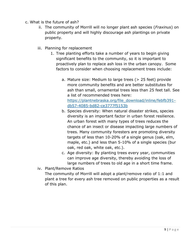- c. What is the future of ash?
	- ii. The community of Morrill will no longer plant ash species (*Fraxinus*) on public property and will highly discourage ash plantings on private property.
	- iii. Planning for replacement
		- 1. Tree planting efforts take a number of years to begin giving significant benefits to the community, so it is important to proactively plan to replace ash loss in the urban canopy. Some factors to consider when choosing replacement trees include:
			- a. Mature size: Medium to large trees (> 25 feet) provide more community benefits and are better substitutes for ash than small, ornamental trees less than 25 feet tall. See a list of recommended trees here: [https://plantnebraska.org/file\\_download/inline/febfb391](https://plantnebraska.org/file_download/inline/febfb391-db57-4085-bd82-ce3777f5153b) [db57-4085-bd82-ce3777f5153b](https://plantnebraska.org/file_download/inline/febfb391-db57-4085-bd82-ce3777f5153b)
			- b. Species diversity: When natural disaster strikes, species diversity is an important factor in urban forest resilience. An urban forest with many types of trees reduces the chance of an insect or disease impacting large numbers of trees. Many community foresters are promoting diversity targets of less than 10-20% of a single genus (oak, elm, maple, etc.) and less than 5-10% of a single species (bur oak, red oak, white oak, etc.).
			- c. Age diversity: By planting trees every year, communities can improve age diversity, thereby avoiding the loss of large numbers of trees to old age in a short time frame.
	- iv. Plant/Remove Ratios

The community of Morrill will adopt a plant/remove ratio of 1:1 and plant a tree for every ash tree removed on public properties as a result of this plan.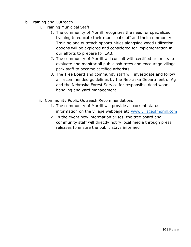- b. Training and Outreach
	- i. Training Municipal Staff:
		- 1. The community of Morrill recognizes the need for specialized training to educate their municipal staff and their community. Training and outreach opportunities alongside wood utilization options will be explored and considered for implementation in our efforts to prepare for EAB.
		- 2. The community of Morrill will consult with certified arborists to evaluate and monitor all public ash trees and encourage village park staff to become certified arborists.
		- 3. The Tree Board and community staff will investigate and follow all recommended guidelines by the Nebraska Department of Ag and the Nebraska Forest Service for responsible dead wood handling and yard management.
	- ii. Community Public Outreach Recommendations:
		- 1. The community of Morrill will provide all current status information on the village webpage at: [www.villageofmorrill.com](http://www.villageofmorrill.com/)
		- 2. In the event new information arises, the tree board and community staff will directly notify local media through press releases to ensure the public stays informed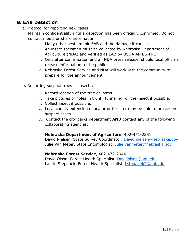## **8. EAB Detection**

- a. Protocol for reporting new cases:
	- Maintain confidentiality until a detection has been officially confirmed. Do not contact media or share information.
		- i. Many other pests mimic EAB and the damage it causes.
		- ii. An insect specimen must be collected by Nebraska Department of Agriculture (NDA) and verified as EAB by USDA APHIS-PPQ.
		- iii. Only after confirmation and an NDA press release, should local officials release information to the public.
		- iv. Nebraska Forest Service and NDA will work with the community to prepare for the announcement.
- b. Reporting suspect trees or insects:
	- i. Record location of the tree or insect.
	- ii. Take pictures of holes in trunk, tunneling, or the insect if possible.
	- iii. Collect insect if possible.
	- iv. Local county extension educator or forester may be able to prescreen suspect cases.
	- v. Contact the city parks department **AND** contact any of the following collaborating agencies:

#### **Nebraska Department of Agriculture**, 402-471-2351

David Nielsen, State Survey Coordinator, [David.nielsen@nebraska.gov](mailto:David.nielsen@nebraska.gov) Julie Van Meter, State Entomologist, [Julie.vanmeter@nebraska.gov](mailto:Julie.vanmeter@nebraska.gov)

#### **Nebraska Forest Service**, 402-472-2944

David Olson, Forest Health Specialist, [Davidolson@unl.edu](mailto:Davidolson@unl.edu) Laurie Stepanek, Forest Health Specialist, [Lstepanek2@unl.edu](mailto:Lstepanek2@unl.edu)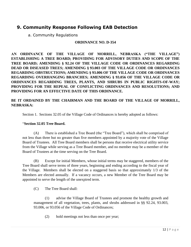## **9. Community Response Following EAB Detection**

a. Community Regulations

#### **ORDINANCE NO. D-354**

**AN ORDINANCE OF THE VILLAGE OF MORRILL, NEBRASKA ("THE VILLAGE") ESTABLISHING A TREE BOARD; PROVIDING FOR ADVISORY DUTIES AND SCOPE OF THE TREE BOARD; AMENDING § 92.24 OF THE VILLAGE CODE OR ORDINANCES REGARDING DEAD OR DISEASED TREES; AMENDING § 93.003 OF THE VILLAGE CODE OR ORDINANCES REGARDING OBSTRUCTIONS; AMENDING § 93.006 OF THE VILLAGE CODE OR ORDINANCES REGARDING OVERHANGING BRANCHES; AMENDING § 93.056 OF THE VILLAGE CODE OR ORDINANCES REGARDING TREES, PLANTS, AND SHRUBS IN PUBLIC RIGHTS-OF-WAY; PROVIDING FOR THE REPEAL OF CONFLICTING ORDINANCES AND RESOLUTIONS; AND PROVIDING FOR AN EFFECTIVE DATE OF THIS ORDINANCE.**

#### **BE IT ORDAINED BY THE CHAIRMAN AND THE BOARD OF THE VILLAGE OF MORRILL, NEBRASKA:**

Section 1. Sections 32.05 of the Village Code of Ordinances is hereby adopted as follows:

#### "**Section 32.05 Tree Board.**

(A) There is established a Tree Board (the "Tree Board"), which shall be comprised of not less than three but no greater than five members appointed by a majority vote of the Village Board of Trustees. All Tree Board members shall be persons that receive electrical utility service from the Village while serving as a Tree Board member, and no member may be a member of the Board of Trustees at the time serving on the Tree Board.

(B) Except for initial Members, whose initial terms may be staggered, members of the Tree Board shall serve terms of three years, beginning and ending according to the fiscal year of the Village. Members shall be elected on a staggered basis so that approximately 1/3 of the Members are elected annually. If a vacancy occurs, a new Member of the Tree Board may be appointed to serve the length of the unexpired term.

(C) The Tree Board shall:

(1) advise the Village Board of Trustees and promote the healthy growth and management of all vegetation, trees, plants, and shrubs addressed in §§ 92.24, 93.003, 93.006, or 93.056 of the Village Code of Ordinances;

(2) hold meetings not less than once per year;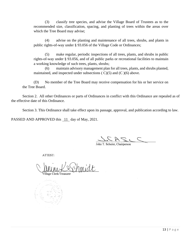(3) classify tree species, and advise the Village Board of Trustees as to the recommended size, classification, spacing, and planting of trees within the areas over which the Tree Board may advise;

(4) advise on the planting and maintenance of all trees, shrubs, and plants in public rights-of-way under § 93.056 of the Village Code or Ordinances;

(5) make regular, periodic inspections of all trees, plants, and shrubs in public rights-of-way under § 93.056, and of all public parks or recreational facilities to maintain a working knowledge of such trees, plants, shrubs;

(6) maintain advisory management plan for all trees, plants, and shrubs planted, maintained, and inspected under subsections  $(C)(5)$  and  $(C)(6)$  above.

(D) No member of the Tree Board may receive compensation for his or her service on the Tree Board.

Section 2. All other Ordinances or parts of Ordinances in conflict with this Ordinance are repealed as of the effective date of this Ordinance.

Section 3. This Ordinance shall take effect upon its passage, approval, and publication according to law.

PASSED AND APPROVED this 11 day of May, 2021.

John T. Schuler, Chairperson

ATTEST:

imidt Village Clerk/Treasure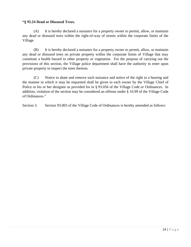#### **"§ 92.24 Dead or Diseased Trees.**

(A) It is hereby declared a nuisance for a property owner to permit, allow, or maintain any dead or diseased trees within the right-of-way of streets within the corporate limits of the Village.

(B) It is hereby declared a nuisance for a property owner to permit, allow, or maintain any dead or diseased trees on private property within the corporate limits of Village that may constitute a health hazard to other property or vegetation. For the purpose of carrying out the provisions of this section, the Village police department shall have the authority to enter upon private property to inspect the trees thereon.

(C) Notice to abate and remove such nuisance and notice of the right to a hearing and the manner in which it may be requested shall be given to each owner by the Village Chief of Police or his or her designee as provided for in § 93.056 of the Village Code or Ordinances. In addition, violation of the section may be considered an offense under § 10.99 of the Village Code of Ordinances."

Section 3. Section 93.003 of the Village Code of Ordinances is hereby amended as follows: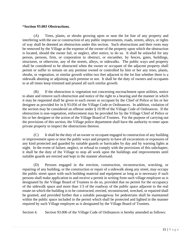#### **"Section 93.003 Obstructions.**

(A) Trees, plants, or shrubs growing upon or near the lot line of any property and interfering with the use or construction of any public improvements, roads, streets, alleys, or rights of way shall be deemed an obstruction under this section. Such obstructions and their roots may be removed by the Village at the expense of the owner of the property upon which the obstruction is located, should the owner fail, or neglect, after notice, to do so. It shall be unlawful for any person, persons, firm, or corporation to obstruct, or encumber, by fences, gates, buildings, structures, or otherwise, any of the streets, alleys, or sidewalks. The public ways and property shall be considered to be obstructed when the owner or occupant of the adjacent property shall permit or suffer to remain on any premise owned or controlled by him or her any trees, plants, shrubs, or vegetation, or similar growth within two feet adjacent to the lot line whether there is a sidewalk abutting or adjoining such premise or not. It shall be the duty of owners and occupants to at all times keep trimmed and pruned all such similar growth.

(B) If the obstruction is vegetation not concerning encroachment upon utilities, notice to abate and remove such obstruction and notice of the right to a hearing and the manner in which it may be requested shall be given to each owner or occupant by the Chief of Police or his or her designee as provided for in § 93.056 of the Village Code or Ordinances. In addition, violation of the section may be considered an offense under § 10.99 of the Village Code of Ordinances. If the obstruction is non-vegetation, enforcement may be provided for by the Village Chief of Police or his or her designee or the action of the Village Board of Trustees. For the purpose of carrying out the provisions of this section, the Village police department shall have the authority to enter upon private property to inspect the obstructions thereon.

(C) It shall be the duty of an owner or occupant engaged in construction of any building or improvement upon or near the public ways and property to have all excavations or exposures of any kind protected and guarded by suitable guards or barricades by day and by warning lights at night. In the event of failure, neglect, or refusal to comply with the provisions of this subchapter, it shall be the duty of the Village to stop all work upon the buildings and improvements until suitable guards are erected and kept in the manner aforesaid.

(D) Persons engaged in the erection, construction, reconstruction, wrecking, or repairing of any building, or the construction or repair of a sidewalk along any street, may occupy the public street space with such building material and equipment as long as is necessary if such persons shall make application to and receive a permit in writing from such village employee as is designated by the Village Board of Trustees to do so, provided that no permit for the occupancy of the sidewalk space and more than 1/3 of the roadway of the public space adjacent to the real estate on which the building is to be constructed, erected, reconstructed, wrecked, or repaired shall be granted, and provided further that a suitable passageway for pedestrians shall be maintained within the public space included in the permit which shall be protected and lighted in the manner required by such Village employee as is designated by the Village Board of Trustees.

Section 4. Section 93.006 of the Village Code of Ordinances is hereby amended as follows: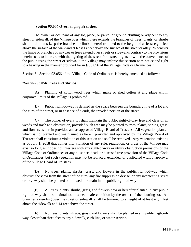#### **"Section 93.006 Overhanging Branches.**

The owner or occupant of any lot, piece, or parcel of ground abutting or adjacent to any street or sidewalk of the Village over which there extends the branches of trees, plants, or shrubs shall at all times keep the branches or limbs thereof trimmed to the height of at least eight feet above the surface of the walk and at least 14 feet above the surface of the street or alley. Whenever the limbs or branches of any tree or trees extend over streets or sidewalks contrary to the provisions herein so as to interfere with the lighting of the street from street lights or with the convenience of the public using the street or sidewalk, the Village may enforce this section with notice and right to a hearing in the manner provided for in § 93.056 of the Village Code or Ordinances."

Section 5. Section 93.056 of the Village Code of Ordinances is hereby amended as follows:

#### "**Section 93.056 Trees and Shrubs.**

(A) Planting of cottonwood trees which make or shed cotton at any place within corporate limits of the Village is prohibited.

(B) Public right-of-way is defined as the space between the boundary line of a lot and the curb of the street, or in absence of a curb, the traveled portion of the street.

(C) The owner of every lot shall maintain the public right-of-way free and clear of all weeds and trash and obstruction, provided such area may be planted to trees, plants, shrubs, grass, and flowers as herein provided and as approved Village Board of Trustees. All vegetation planted which is not planted and maintained as herein provided and approved by the Village Board of Trustees shall constitute a violation of this section and shall be removed. Any vegetation existing as of July 1, 2018 that comes into violation of any rule, regulation, or order of the Village may exist so long as it does not interfere with any right-of-way or utility obstruction provisions of the Village Code of Ordinances or any nuisance, dead, or diseased tree provision of the Village Code of Ordinances, but such vegetation may not be replaced, extended, or duplicated without approval of the Village Board of Trustees.

(D) No trees, plants, shrubs, grass, and flowers in the public right-of-way which obstruct the view from the street of the curb, any fire suppression devise, or any intersecting street or driveway shall be planted or allowed to remain in the public right-of-way.

(E) All trees, plants, shrubs, grass, and flowers now or hereafter planted in any public right-of-way shall be maintained in a neat, safe condition by the owner of the abutting lot. All branches extending over the street or sidewalk shall be trimmed to a height of at least eight feet above the sidewalk and 14 feet above the street.

(F) No trees, plants, shrubs, grass, and flowers shall be planted in any public right-ofway closer than three feet to any sidewalk, curb line, or water service.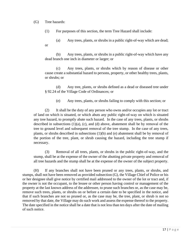(G) Tree hazards:

(1) For purposes of this section, the term Tree Hazard shall include:

(a) Any trees, plants, or shrubs in a public right-of-way which are dead; or

(b) Any trees, plants, or shrubs in a public right-of-way which have any dead branch one inch in diameter or larger; or

(c) Any trees, plants, or shrubs which by reason of disease or other cause create a substantial hazard to persons, property, or other healthy trees, plants, or shrubs; or

(d) Any tree, plants, or shrubs defined as a dead or diseased tree under § 92.24 of the Village Code of Ordinances; or

(e) Any trees, plants, or shrubs failing to comply with this section; or

(2) It shall be the duty of any person who owns and/or occupies any lot or tract of land on which is situated, or which abuts any public right-of-way on which is situated any tree hazard, to promptly abate such hazard. In the case of any trees, plants, or shrubs described in subsections  $(1)(a)$ ,  $(c)$ , and  $(d)$  above, abatement shall be by removal of the tree to ground level and subsequent removal of the tree stump. In the case of any trees, plants, or shrubs described in subsections  $(1)(b)$  and  $(e)$  abatement shall be by removal of the portion of the tree, plant, or shrub causing the hazard, including the tree stump if necessary.

(3) Removal of all trees, plants, or shrubs in the public right-of-way, and the stump, shall be at the expense of the owner of the abutting private property and removal of all tree hazards and the stump shall be at the expense of the owner of the subject property.

(H) If any branches shall not have been pruned or any trees, plants, or shrubs, and stumps, shall not have been removed as provided subsection (G), the Village Chief of Police or his or her designee shall give notice by certified mail addressed to the owner of the lot or tract and, if the owner is not the occupant, to the lessee or other person having control or management of the property at the last known address of the addressee, to prune such branches or, as the case may be, remove such trees, plants, or shrubs on or before a certain date to be specified in the notice, and that if such branches are not so pruned or, as the case may be, the tree, plant, or shrub is not so removed by that date, the Village may do such work and assess the expense thereof to the property. The date specified in the notice shall be a date that is not less than ten days after the date of mailing of such notice.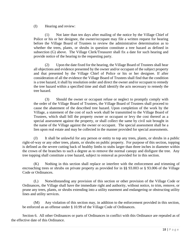(I) Hearing and review:

(1) Not later than ten days after mailing of the notice by the Village Chief of Police or his or her designee, the owner/occupant may file a written request for hearing before the Village Board of Trustees to review the administrative determination as to whether the trees, plants, or shrubs in question constitute a tree hazard as defined in subsection (G) above. The Village Clerk/Treasurer shall fix a date for such hearing and provide notice of the hearing to the requesting party.

(2) Upon the date fixed for the hearing, the Village Board of Trustees shall hear all objections and evidence presented by the owner and/or occupant of the subject property and that presented by the Village Chief of Police or his or her designee. If after consideration of all the evidence the Village Board of Trustees shall find that the condition is a tree hazard, it shall by resolution order and direct the owner and/or occupant to remedy the tree hazard within a specified time and shall identify the acts necessary to remedy the tree hazard.

(3) Should the owner or occupant refuse or neglect to promptly comply with the order of the Village Board of Trustees, the Village Board of Trustees shall proceed to cause the abatement of the described tree hazard. Upon completion of the work by the Village, a statement of the cost of such work shall be transmitted to the Village Board of Trustees, which shall bill the property owner or occupant or levy the cost thereof as a special assessment against the property, or shall collect the same by civil suit brought in the name of the Village against the owner or occupant. The special assessment shall be a lien upon real estate and may be collected in the manner provided for special assessments.

(J) It shall be unlawful for any person or entity to top any trees, plants, or shrubs in a public right-of-way or any other trees, plants, or shrubs on public property. For purpose of this section, topping is defined as the severe cutting back of healthy limbs to stubs larger than three inches in diameter within the crown of the branches to such a degree as to remove the normal canopy and disfigure the tree. Any tree topping shall constitute a tree hazard, subject to removal as provided for in this section.

(K) Nothing in this section shall replace or interfere with the enforcement and trimming of encroaching trees or shrubs on private property as provided for in §§ 93.003 or § 93.006 of the Village Code or Ordinances.

(L) Notwithstanding any provision of this section or other provision of the Village Code or Ordinances, the Village shall have the immediate right and authority, without notice, to trim, remove, or prune any trees, plants, or shrubs extending into a utility easement and endangering or obstructing utility lines and utility services.

(M) Any violation of this section may, in addition to the enforcement provided in this section, be enforced as an offense under § 10.99 of the Village Code of Ordinances.

Section 6. All other Ordinances or parts of Ordinances in conflict with this Ordinance are repealed as of the effective date of this Ordinance.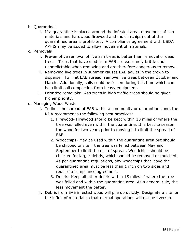- b. Quarantines
	- i. If a quarantine is placed around the infested area, movement of ash materials and hardwood firewood and mulch (chips) out of the quarantined area is prohibited. A compliance agreement with USDA APHIS may be issued to allow movement of materials.
- c. Removals
	- i. Pre-emptive removal of live ash trees is better than removal of dead trees. Trees that have died from EAB are extremely brittle and unpredictable when removing and are therefore dangerous to remove.
	- ii. Removing live trees in summer causes EAB adults in the crown to disperse. To limit EAB spread, remove live trees between October and March. Additionally, soils could be frozen during this time which can help limit soil compaction from heavy equipment.
	- iii. Prioritize removals: Ash trees in high traffic areas should be given higher priority.
- d. Managing Wood Waste
	- i. To limit the spread of EAB within a community or quarantine zone, the NDA recommends the following best practices:
		- 1. Firewood- Firewood should be kept within 10 miles of where the tree was felled even within the quarantine. It is best to season the wood for two years prior to moving it to limit the spread of EAB.
		- 2. Woodchips- May be used within the quarantine area but should be chipped onsite if the tree was felled between May and September to limit the risk of spread. Woodchips should be checked for larger debris, which should be removed or mulched. As per quarantine regulations, any woodchips that leave the quarantined area must be less than 1 inch on two sides and require a compliance agreement.
		- 3. Debris- Keep all other debris within 15 miles of where the tree was felled and within the quarantine area. As a general rule, the less movement the better.
	- ii. Debris from EAB infested wood will pile up quickly. Designate a site for the influx of material so that normal operations will not be overrun.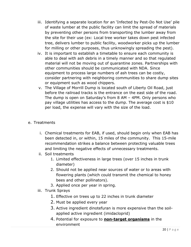- iii. Identifying a separate location for an 'Infected by Pest-Do Not Use' pile of waste lumber at the public facility can limit the spread of materials by preventing other persons from transporting the lumber away from the site for their use (ex: Local tree worker takes down pest infected tree, delivers lumber to public facility, woodworker picks up the lumber for milling or other purposes, thus unknowingly spreading the pest).
- iv. It is important to establish a timetable to ensure each community is able to deal with ash debris in a timely manner and so that regulated material will not be moving out of quarantine zones. Partnerships with other communities should be communicated with NDA. Since equipment to process large numbers of ash trees can be costly, consider partnering with neighboring communities to share dump sites or equipment such as wood chippers.
- v. The Village of Morrill Dump is located south of Liberty Oil Road, just before the railroad tracks is the entrance on the east side of the road. The dump is open on Saturday's from 8 AM – 4PM. Only persons who pay village utilities has access to the dump. The average cost is \$10 per load, the expense will vary with the size of the load.

#### e. Treatments

- i. Chemical treatments for EAB, if used, should begin only when EAB has been detected in, or within, 15 miles of the community. This 15-mile recommendation strikes a balance between protecting valuable trees and limiting the negative effects of unnecessary treatments.
- ii. Soil treatments
	- 1. Limited effectiveness in large trees (over 15 inches in trunk diameter)
	- 2. Should not be applied near sources of water or to areas with flowering plants (which could transmit the chemical to honey bees and other pollinators).
	- 3. Applied once per year in spring.
- iii. Trunk Sprays
	- 1. Effective on trees up to 22 inches in trunk diameter
	- 2. Must be applied every year
	- 3. Active ingredient dinotefuran is more expensive than the soilapplied active ingredient (imidacloprid)
	- 4. Potential for exposure to **non-target organisms** in the environment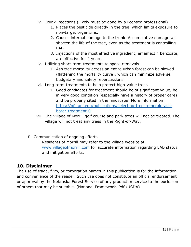- iv. Trunk Injections (Likely must be done by a licensed professional)
	- 1. Places the pesticide directly in the tree, which limits exposure to non-target organisms.
	- 2. Causes internal damage to the trunk. Accumulative damage will shorten the life of the tree, even as the treatment is controlling EAB.
	- 3. Injections of the most effective ingredient, emamectin benzoate, are effective for 2 years.
- v. Utilizing short-term treatments to space removals
	- 1. Ash tree mortality across an entire urban forest can be slowed (flattening the mortality curve), which can minimize adverse budgetary and safety repercussions.
- vi. Long-term treatments to help protect high-value trees
	- 1. Good candidates for treatment should be of significant value, be in very good condition (especially have a history of proper care) and be properly sited in the landscape. More information: [https://nfs.unl.edu/publications/selecting-trees-emerald-ash](https://nfs.unl.edu/publications/selecting-trees-emerald-ash-borer-treatment-0)[borer-treatment-0](https://nfs.unl.edu/publications/selecting-trees-emerald-ash-borer-treatment-0)
- vii. The Village of Morrill golf course and park trees will not be treated. The village will not treat any trees in the Right-of-Way.
- f. Communication of ongoing efforts

Residents of Morrill may refer to the village website at: [www.villageofmorrill.com](http://www.villageofmorrill.com/) for accurate information regarding EAB status and mitigation efforts.

## **10. Disclaimer**

The use of trade, firm, or corporation names in this publication is for the information and convenience of the reader. Such use does not constitute an official endorsement or approval by the Nebraska Forest Service of any product or service to the exclusion of others that may be suitable. (National Framework. Pdf /USDA)